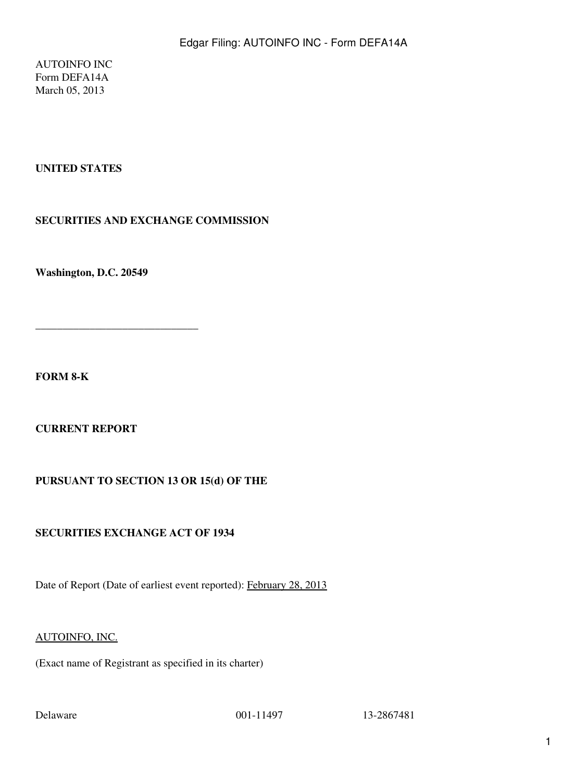AUTOINFO INC Form DEFA14A March 05, 2013

# **UNITED STATES**

## **SECURITIES AND EXCHANGE COMMISSION**

**Washington, D.C. 20549**

**\_\_\_\_\_\_\_\_\_\_\_\_\_\_\_\_\_\_\_\_\_\_\_\_\_\_\_\_\_\_**

**FORM 8-K**

**CURRENT REPORT**

## **PURSUANT TO SECTION 13 OR 15(d) OF THE**

## **SECURITIES EXCHANGE ACT OF 1934**

Date of Report (Date of earliest event reported): February 28, 2013

#### AUTOINFO, INC.

(Exact name of Registrant as specified in its charter)

Delaware 001-11497 13-2867481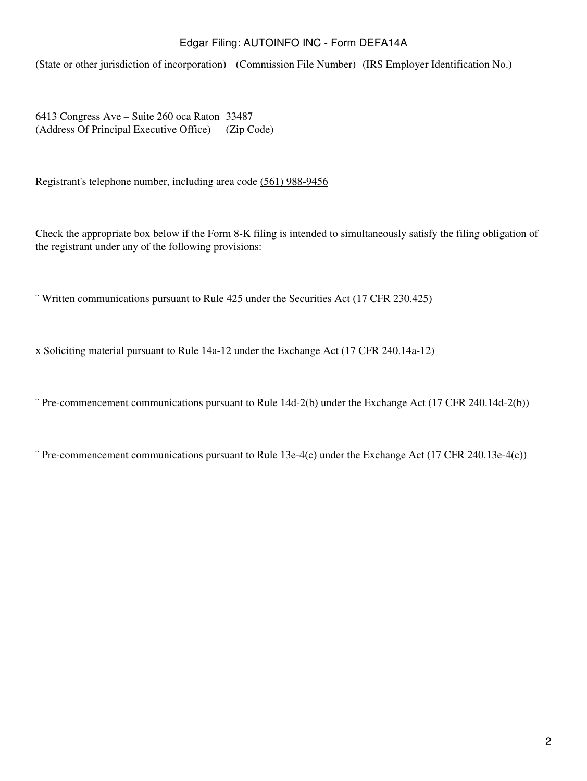(State or other jurisdiction of incorporation) (Commission File Number) (IRS Employer Identification No.)

6413 Congress Ave – Suite 260 oca Raton 33487 (Address Of Principal Executive Office) (Zip Code)

Registrant's telephone number, including area code (561) 988-9456

Check the appropriate box below if the Form 8-K filing is intended to simultaneously satisfy the filing obligation of the registrant under any of the following provisions:

¨ Written communications pursuant to Rule 425 under the Securities Act (17 CFR 230.425)

x Soliciting material pursuant to Rule 14a-12 under the Exchange Act (17 CFR 240.14a-12)

¨ Pre-commencement communications pursuant to Rule 14d-2(b) under the Exchange Act (17 CFR 240.14d-2(b))

¨ Pre-commencement communications pursuant to Rule 13e-4(c) under the Exchange Act (17 CFR 240.13e-4(c))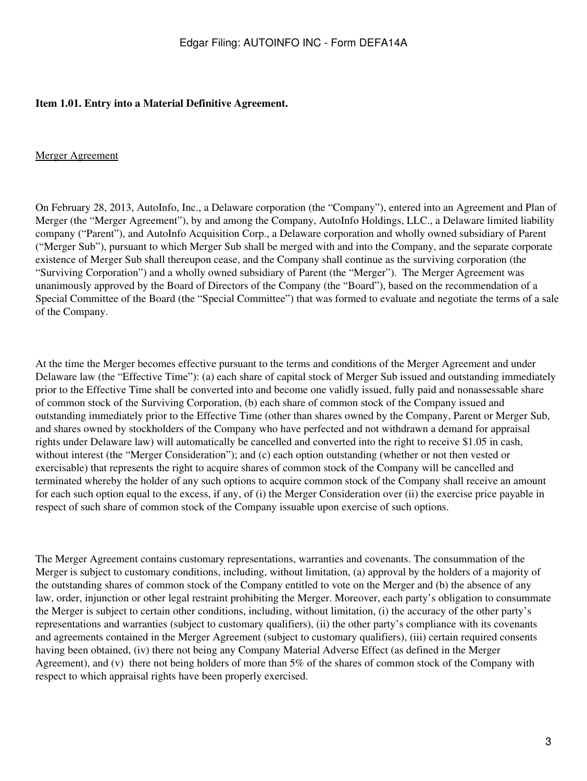#### **Item 1.01. Entry into a Material Definitive Agreement.**

#### Merger Agreement

On February 28, 2013, AutoInfo, Inc., a Delaware corporation (the "Company"), entered into an Agreement and Plan of Merger (the "Merger Agreement"), by and among the Company, AutoInfo Holdings, LLC., a Delaware limited liability company ("Parent"), and AutoInfo Acquisition Corp., a Delaware corporation and wholly owned subsidiary of Parent ("Merger Sub"), pursuant to which Merger Sub shall be merged with and into the Company, and the separate corporate existence of Merger Sub shall thereupon cease, and the Company shall continue as the surviving corporation (the "Surviving Corporation") and a wholly owned subsidiary of Parent (the "Merger"). The Merger Agreement was unanimously approved by the Board of Directors of the Company (the "Board"), based on the recommendation of a Special Committee of the Board (the "Special Committee") that was formed to evaluate and negotiate the terms of a sale of the Company.

At the time the Merger becomes effective pursuant to the terms and conditions of the Merger Agreement and under Delaware law (the "Effective Time"): (a) each share of capital stock of Merger Sub issued and outstanding immediately prior to the Effective Time shall be converted into and become one validly issued, fully paid and nonassessable share of common stock of the Surviving Corporation, (b) each share of common stock of the Company issued and outstanding immediately prior to the Effective Time (other than shares owned by the Company, Parent or Merger Sub, and shares owned by stockholders of the Company who have perfected and not withdrawn a demand for appraisal rights under Delaware law) will automatically be cancelled and converted into the right to receive \$1.05 in cash, without interest (the "Merger Consideration"); and (c) each option outstanding (whether or not then vested or exercisable) that represents the right to acquire shares of common stock of the Company will be cancelled and terminated whereby the holder of any such options to acquire common stock of the Company shall receive an amount for each such option equal to the excess, if any, of (i) the Merger Consideration over (ii) the exercise price payable in respect of such share of common stock of the Company issuable upon exercise of such options.

The Merger Agreement contains customary representations, warranties and covenants. The consummation of the Merger is subject to customary conditions, including, without limitation, (a) approval by the holders of a majority of the outstanding shares of common stock of the Company entitled to vote on the Merger and (b) the absence of any law, order, injunction or other legal restraint prohibiting the Merger. Moreover, each party's obligation to consummate the Merger is subject to certain other conditions, including, without limitation, (i) the accuracy of the other party's representations and warranties (subject to customary qualifiers), (ii) the other party's compliance with its covenants and agreements contained in the Merger Agreement (subject to customary qualifiers), (iii) certain required consents having been obtained, (iv) there not being any Company Material Adverse Effect (as defined in the Merger Agreement), and (v) there not being holders of more than 5% of the shares of common stock of the Company with respect to which appraisal rights have been properly exercised.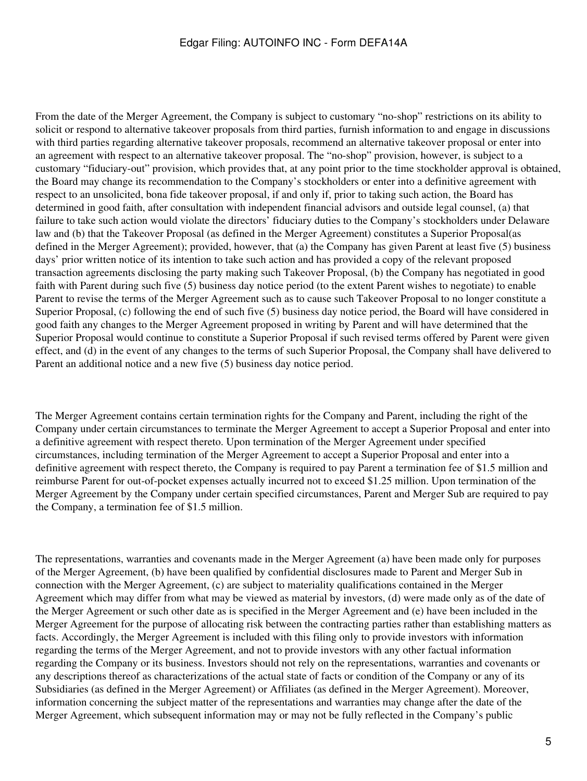From the date of the Merger Agreement, the Company is subject to customary "no-shop" restrictions on its ability to solicit or respond to alternative takeover proposals from third parties, furnish information to and engage in discussions with third parties regarding alternative takeover proposals, recommend an alternative takeover proposal or enter into an agreement with respect to an alternative takeover proposal. The "no-shop" provision, however, is subject to a customary "fiduciary-out" provision, which provides that, at any point prior to the time stockholder approval is obtained, the Board may change its recommendation to the Company's stockholders or enter into a definitive agreement with respect to an unsolicited, bona fide takeover proposal, if and only if, prior to taking such action, the Board has determined in good faith, after consultation with independent financial advisors and outside legal counsel, (a) that failure to take such action would violate the directors' fiduciary duties to the Company's stockholders under Delaware law and (b) that the Takeover Proposal (as defined in the Merger Agreement) constitutes a Superior Proposal(as defined in the Merger Agreement); provided, however, that (a) the Company has given Parent at least five (5) business days' prior written notice of its intention to take such action and has provided a copy of the relevant proposed transaction agreements disclosing the party making such Takeover Proposal, (b) the Company has negotiated in good faith with Parent during such five (5) business day notice period (to the extent Parent wishes to negotiate) to enable Parent to revise the terms of the Merger Agreement such as to cause such Takeover Proposal to no longer constitute a Superior Proposal, (c) following the end of such five (5) business day notice period, the Board will have considered in good faith any changes to the Merger Agreement proposed in writing by Parent and will have determined that the Superior Proposal would continue to constitute a Superior Proposal if such revised terms offered by Parent were given effect, and (d) in the event of any changes to the terms of such Superior Proposal, the Company shall have delivered to Parent an additional notice and a new five (5) business day notice period.

The Merger Agreement contains certain termination rights for the Company and Parent, including the right of the Company under certain circumstances to terminate the Merger Agreement to accept a Superior Proposal and enter into a definitive agreement with respect thereto. Upon termination of the Merger Agreement under specified circumstances, including termination of the Merger Agreement to accept a Superior Proposal and enter into a definitive agreement with respect thereto, the Company is required to pay Parent a termination fee of \$1.5 million and reimburse Parent for out-of-pocket expenses actually incurred not to exceed \$1.25 million. Upon termination of the Merger Agreement by the Company under certain specified circumstances, Parent and Merger Sub are required to pay the Company, a termination fee of \$1.5 million.

The representations, warranties and covenants made in the Merger Agreement (a) have been made only for purposes of the Merger Agreement, (b) have been qualified by confidential disclosures made to Parent and Merger Sub in connection with the Merger Agreement, (c) are subject to materiality qualifications contained in the Merger Agreement which may differ from what may be viewed as material by investors, (d) were made only as of the date of the Merger Agreement or such other date as is specified in the Merger Agreement and (e) have been included in the Merger Agreement for the purpose of allocating risk between the contracting parties rather than establishing matters as facts. Accordingly, the Merger Agreement is included with this filing only to provide investors with information regarding the terms of the Merger Agreement, and not to provide investors with any other factual information regarding the Company or its business. Investors should not rely on the representations, warranties and covenants or any descriptions thereof as characterizations of the actual state of facts or condition of the Company or any of its Subsidiaries (as defined in the Merger Agreement) or Affiliates (as defined in the Merger Agreement). Moreover, information concerning the subject matter of the representations and warranties may change after the date of the Merger Agreement, which subsequent information may or may not be fully reflected in the Company's public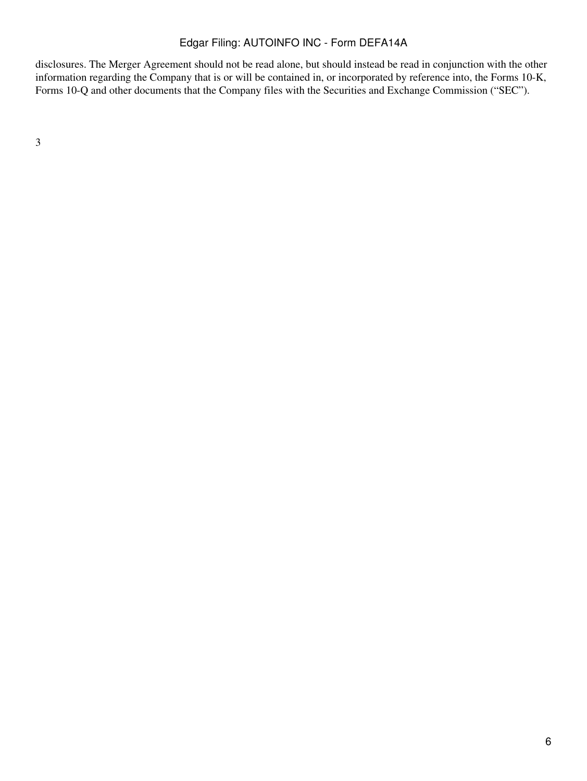disclosures. The Merger Agreement should not be read alone, but should instead be read in conjunction with the other information regarding the Company that is or will be contained in, or incorporated by reference into, the Forms 10-K, Forms 10-Q and other documents that the Company files with the Securities and Exchange Commission ("SEC").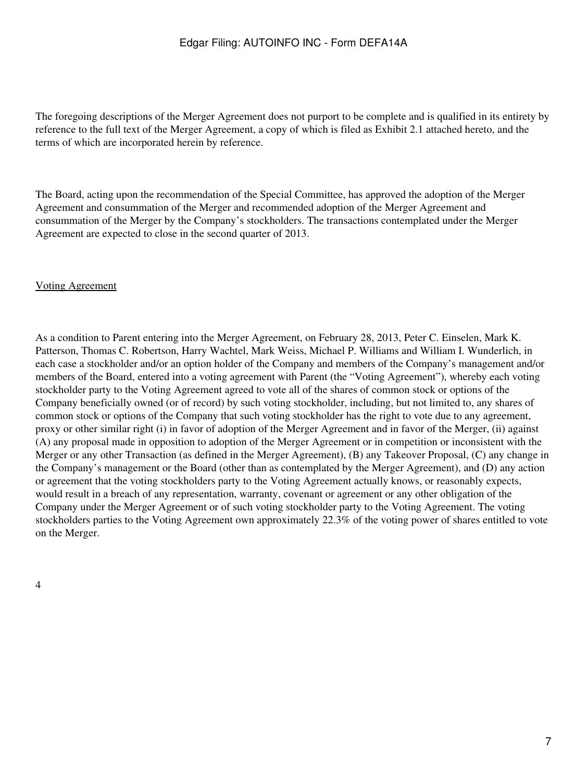The foregoing descriptions of the Merger Agreement does not purport to be complete and is qualified in its entirety by reference to the full text of the Merger Agreement, a copy of which is filed as Exhibit 2.1 attached hereto, and the terms of which are incorporated herein by reference.

The Board, acting upon the recommendation of the Special Committee, has approved the adoption of the Merger Agreement and consummation of the Merger and recommended adoption of the Merger Agreement and consummation of the Merger by the Company's stockholders. The transactions contemplated under the Merger Agreement are expected to close in the second quarter of 2013.

#### Voting Agreement

As a condition to Parent entering into the Merger Agreement, on February 28, 2013, Peter C. Einselen, Mark K. Patterson, Thomas C. Robertson, Harry Wachtel, Mark Weiss, Michael P. Williams and William I. Wunderlich, in each case a stockholder and/or an option holder of the Company and members of the Company's management and/or members of the Board, entered into a voting agreement with Parent (the "Voting Agreement"), whereby each voting stockholder party to the Voting Agreement agreed to vote all of the shares of common stock or options of the Company beneficially owned (or of record) by such voting stockholder, including, but not limited to, any shares of common stock or options of the Company that such voting stockholder has the right to vote due to any agreement, proxy or other similar right (i) in favor of adoption of the Merger Agreement and in favor of the Merger, (ii) against (A) any proposal made in opposition to adoption of the Merger Agreement or in competition or inconsistent with the Merger or any other Transaction (as defined in the Merger Agreement), (B) any Takeover Proposal, (C) any change in the Company's management or the Board (other than as contemplated by the Merger Agreement), and (D) any action or agreement that the voting stockholders party to the Voting Agreement actually knows, or reasonably expects, would result in a breach of any representation, warranty, covenant or agreement or any other obligation of the Company under the Merger Agreement or of such voting stockholder party to the Voting Agreement. The voting stockholders parties to the Voting Agreement own approximately 22.3% of the voting power of shares entitled to vote on the Merger.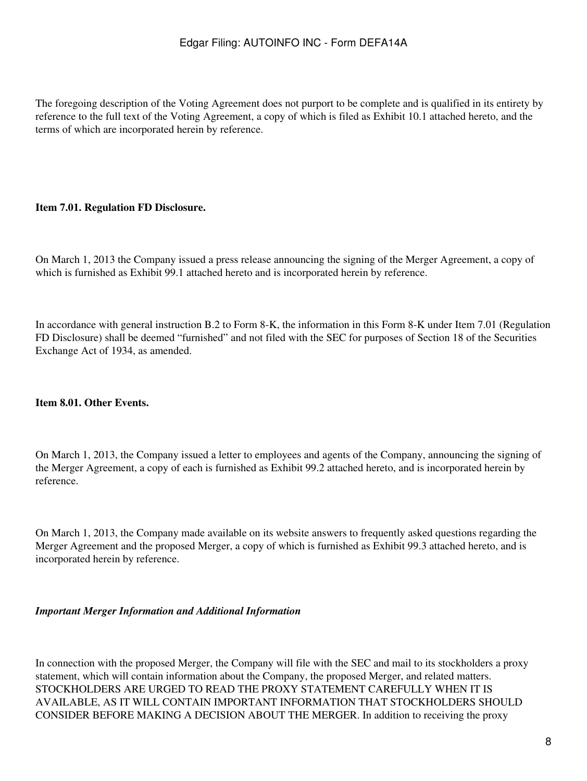The foregoing description of the Voting Agreement does not purport to be complete and is qualified in its entirety by reference to the full text of the Voting Agreement, a copy of which is filed as Exhibit 10.1 attached hereto, and the terms of which are incorporated herein by reference.

### **Item 7.01. Regulation FD Disclosure.**

On March 1, 2013 the Company issued a press release announcing the signing of the Merger Agreement, a copy of which is furnished as Exhibit 99.1 attached hereto and is incorporated herein by reference.

In accordance with general instruction B.2 to Form 8-K, the information in this Form 8-K under Item 7.01 (Regulation FD Disclosure) shall be deemed "furnished" and not filed with the SEC for purposes of Section 18 of the Securities Exchange Act of 1934, as amended.

#### **Item 8.01. Other Events.**

On March 1, 2013, the Company issued a letter to employees and agents of the Company, announcing the signing of the Merger Agreement, a copy of each is furnished as Exhibit 99.2 attached hereto, and is incorporated herein by reference.

On March 1, 2013, the Company made available on its website answers to frequently asked questions regarding the Merger Agreement and the proposed Merger, a copy of which is furnished as Exhibit 99.3 attached hereto, and is incorporated herein by reference.

#### *Important Merger Information and Additional Information*

In connection with the proposed Merger, the Company will file with the SEC and mail to its stockholders a proxy statement, which will contain information about the Company, the proposed Merger, and related matters. STOCKHOLDERS ARE URGED TO READ THE PROXY STATEMENT CAREFULLY WHEN IT IS AVAILABLE, AS IT WILL CONTAIN IMPORTANT INFORMATION THAT STOCKHOLDERS SHOULD CONSIDER BEFORE MAKING A DECISION ABOUT THE MERGER. In addition to receiving the proxy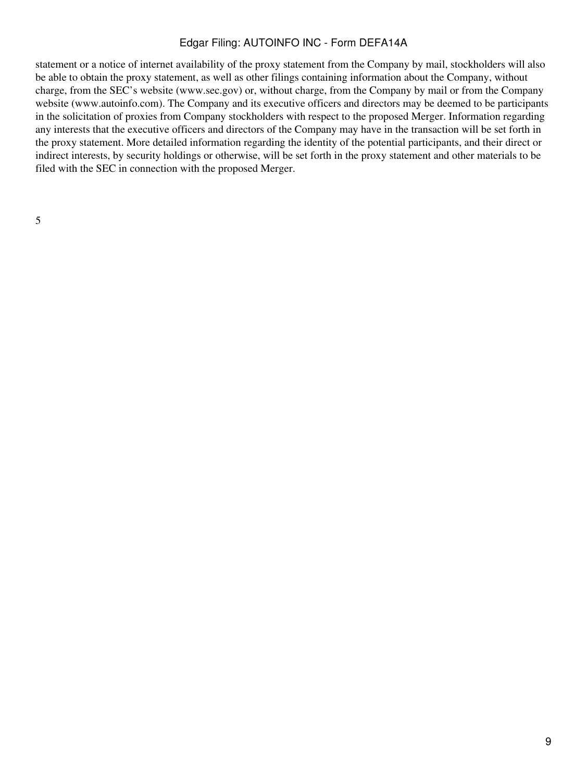statement or a notice of internet availability of the proxy statement from the Company by mail, stockholders will also be able to obtain the proxy statement, as well as other filings containing information about the Company, without charge, from the SEC's website (www.sec.gov) or, without charge, from the Company by mail or from the Company website (www.autoinfo.com). The Company and its executive officers and directors may be deemed to be participants in the solicitation of proxies from Company stockholders with respect to the proposed Merger. Information regarding any interests that the executive officers and directors of the Company may have in the transaction will be set forth in the proxy statement. More detailed information regarding the identity of the potential participants, and their direct or indirect interests, by security holdings or otherwise, will be set forth in the proxy statement and other materials to be filed with the SEC in connection with the proposed Merger.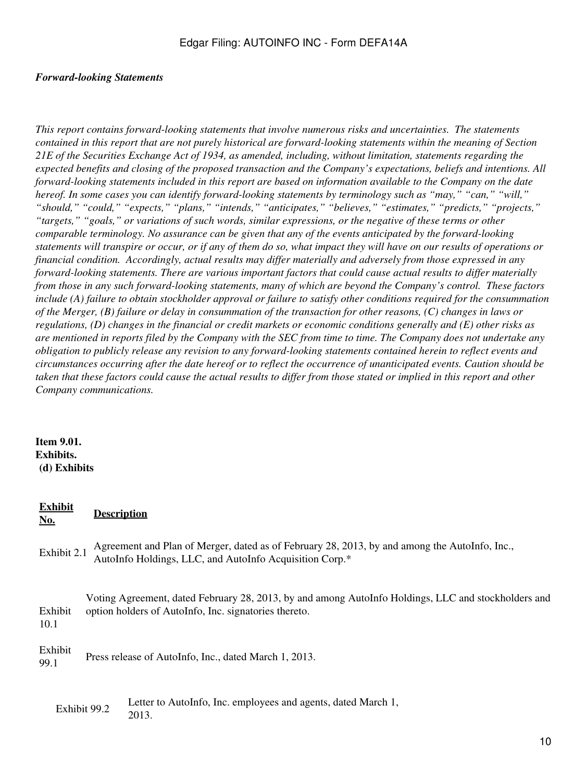#### *Forward-looking Statements*

*This report contains forward-looking statements that involve numerous risks and uncertainties. The statements contained in this report that are not purely historical are forward-looking statements within the meaning of Section 21E of the Securities Exchange Act of 1934, as amended, including, without limitation, statements regarding the expected benefits and closing of the proposed transaction and the Company's expectations, beliefs and intentions. All forward-looking statements included in this report are based on information available to the Company on the date hereof. In some cases you can identify forward-looking statements by terminology such as "may," "can," "will," "should," "could," "expects," "plans," "intends," "anticipates," "believes," "estimates," "predicts," "projects," "targets," "goals," or variations of such words, similar expressions, or the negative of these terms or other comparable terminology. No assurance can be given that any of the events anticipated by the forward-looking statements will transpire or occur, or if any of them do so, what impact they will have on our results of operations or financial condition. Accordingly, actual results may differ materially and adversely from those expressed in any forward-looking statements. There are various important factors that could cause actual results to differ materially from those in any such forward-looking statements, many of which are beyond the Company's control. These factors include (A) failure to obtain stockholder approval or failure to satisfy other conditions required for the consummation of the Merger, (B) failure or delay in consummation of the transaction for other reasons, (C) changes in laws or regulations, (D) changes in the financial or credit markets or economic conditions generally and (E) other risks as are mentioned in reports filed by the Company with the SEC from time to time. The Company does not undertake any obligation to publicly release any revision to any forward-looking statements contained herein to reflect events and circumstances occurring after the date hereof or to reflect the occurrence of unanticipated events. Caution should be taken that these factors could cause the actual results to differ from those stated or implied in this report and other Company communications.*

### **Item 9.01. Exhibits. (d) Exhibits**

### **Exhibit No. Description**

Exhibit 2.1 Agreement and Plan of Merger, dated as of February 28, 2013, by and among the AutoInfo, Inc., AutoInfo Holdings, LLC, and AutoInfo Acquisition Corp.\*

Exhibit 10.1 Voting Agreement, dated February 28, 2013, by and among AutoInfo Holdings, LLC and stockholders and option holders of AutoInfo, Inc. signatories thereto.

Exhibit EXINOR Press release of AutoInfo, Inc., dated March 1, 2013.

Exhibit 99.2 Letter to AutoInfo, Inc. employees and agents, dated March 1, 2013.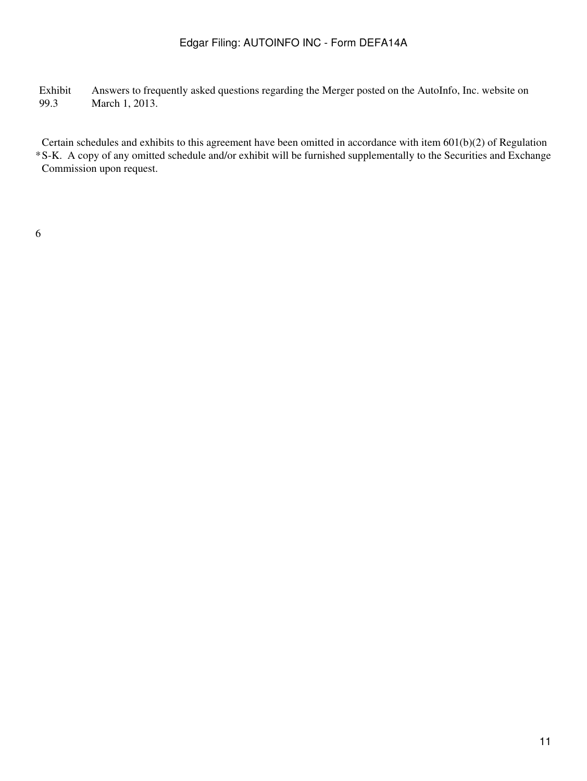Exhibit 99.3 Answers to frequently asked questions regarding the Merger posted on the AutoInfo, Inc. website on March 1, 2013.

\* S-K. A copy of any omitted schedule and/or exhibit will be furnished supplementally to the Securities and Exchange Certain schedules and exhibits to this agreement have been omitted in accordance with item 601(b)(2) of Regulation Commission upon request.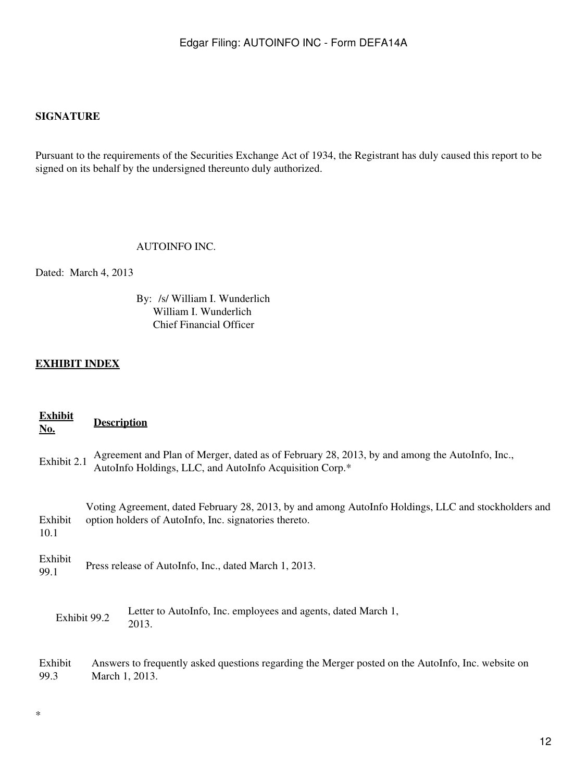# **SIGNATURE**

Pursuant to the requirements of the Securities Exchange Act of 1934, the Registrant has duly caused this report to be signed on its behalf by the undersigned thereunto duly authorized.

### AUTOINFO INC.

Dated: March 4, 2013

By: /s/ William I. Wunderlich William I. Wunderlich Chief Financial Officer

# **EXHIBIT INDEX**

\*

| <b>Exhibit</b><br><u>No.</u> | <b>Description</b>                                                                                                                                           |                                                                                                                                                          |
|------------------------------|--------------------------------------------------------------------------------------------------------------------------------------------------------------|----------------------------------------------------------------------------------------------------------------------------------------------------------|
| Exhibit 2.1                  |                                                                                                                                                              | Agreement and Plan of Merger, dated as of February 28, 2013, by and among the AutoInfo, Inc.,<br>AutoInfo Holdings, LLC, and AutoInfo Acquisition Corp.* |
| Exhibit<br>10.1              | Voting Agreement, dated February 28, 2013, by and among AutoInfo Holdings, LLC and stockholders and<br>option holders of AutoInfo, Inc. signatories thereto. |                                                                                                                                                          |
| Exhibit<br>99.1              | Press release of AutoInfo, Inc., dated March 1, 2013.                                                                                                        |                                                                                                                                                          |
| Exhibit 99.2                 |                                                                                                                                                              | Letter to AutoInfo, Inc. employees and agents, dated March 1,<br>2013.                                                                                   |
| Exhibit<br>99.3              | Answers to frequently asked questions regarding the Merger posted on the AutoInfo, Inc. website on<br>March 1, 2013.                                         |                                                                                                                                                          |